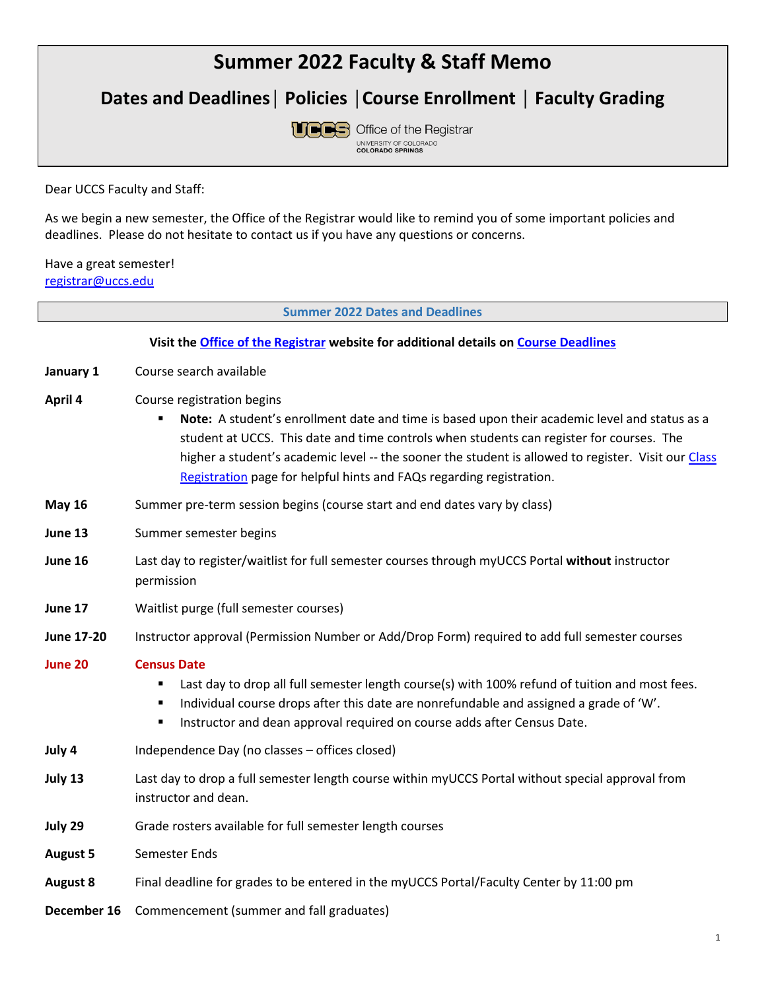# **Summer 2022 Faculty & Staff Memo**

**Dates and Deadlines│ Policies │Course Enrollment │ Faculty Grading**



Dear UCCS Faculty and Staff:

As we begin a new semester, the Office of the Registrar would like to remind you of some important policies and deadlines. Please do not hesitate to contact us if you have any questions or concerns.

## Have a great semester! [registrar@uccs.edu](mailto:registrar@uccs.edu)

**Summer 2022 Dates and Deadlines**

|                   | Visit the Office of the Registrar website for additional details on Course Deadlines                                                                                                                                                                                                                                                                                                                   |
|-------------------|--------------------------------------------------------------------------------------------------------------------------------------------------------------------------------------------------------------------------------------------------------------------------------------------------------------------------------------------------------------------------------------------------------|
| January 1         | Course search available                                                                                                                                                                                                                                                                                                                                                                                |
| April 4           | Course registration begins<br>Note: A student's enrollment date and time is based upon their academic level and status as a<br>student at UCCS. This date and time controls when students can register for courses. The<br>higher a student's academic level -- the sooner the student is allowed to register. Visit our Class<br>Registration page for helpful hints and FAQs regarding registration. |
| <b>May 16</b>     | Summer pre-term session begins (course start and end dates vary by class)                                                                                                                                                                                                                                                                                                                              |
| June 13           | Summer semester begins                                                                                                                                                                                                                                                                                                                                                                                 |
| June 16           | Last day to register/waitlist for full semester courses through myUCCS Portal without instructor<br>permission                                                                                                                                                                                                                                                                                         |
| June 17           | Waitlist purge (full semester courses)                                                                                                                                                                                                                                                                                                                                                                 |
| <b>June 17-20</b> | Instructor approval (Permission Number or Add/Drop Form) required to add full semester courses                                                                                                                                                                                                                                                                                                         |
| June 20           | <b>Census Date</b><br>Last day to drop all full semester length course(s) with 100% refund of tuition and most fees.<br>Individual course drops after this date are nonrefundable and assigned a grade of 'W'.<br>Instructor and dean approval required on course adds after Census Date.<br>п                                                                                                         |
| July 4            | Independence Day (no classes - offices closed)                                                                                                                                                                                                                                                                                                                                                         |
| July 13           | Last day to drop a full semester length course within myUCCS Portal without special approval from<br>instructor and dean.                                                                                                                                                                                                                                                                              |
| July 29           | Grade rosters available for full semester length courses                                                                                                                                                                                                                                                                                                                                               |
| <b>August 5</b>   | Semester Ends                                                                                                                                                                                                                                                                                                                                                                                          |
| <b>August 8</b>   | Final deadline for grades to be entered in the myUCCS Portal/Faculty Center by 11:00 pm                                                                                                                                                                                                                                                                                                                |
| December 16       | Commencement (summer and fall graduates)                                                                                                                                                                                                                                                                                                                                                               |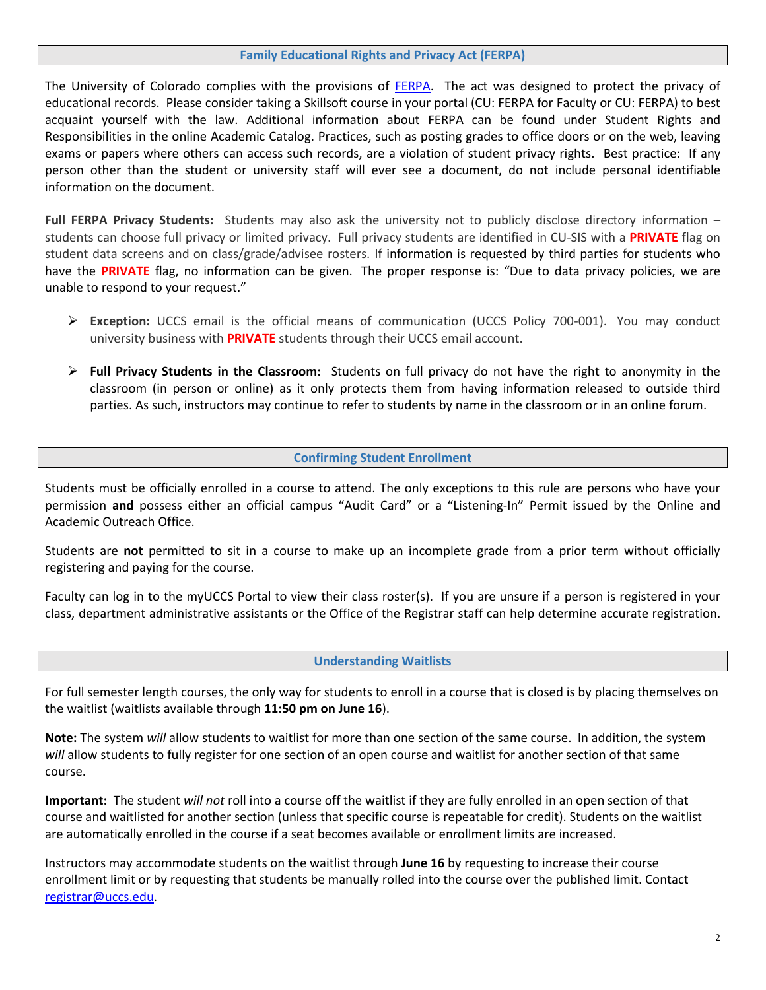#### **Family Educational Rights and Privacy Act (FERPA)**

The University of Colorado complies with the provisions of [FERPA.](https://registrar.uccs.edu/ferpa-the-family-educational-rights-and-privacy-act) The act was designed to protect the privacy of educational records. Please consider taking a Skillsoft course in your portal (CU: FERPA for Faculty or CU: FERPA) to best acquaint yourself with the law. Additional information about FERPA can be found under Student Rights and Responsibilities in the online Academic Catalog. Practices, such as posting grades to office doors or on the web, leaving exams or papers where others can access such records, are a violation of student privacy rights. Best practice: If any person other than the student or university staff will ever see a document, do not include personal identifiable information on the document.

**Full FERPA Privacy Students:** Students may also ask the university not to publicly disclose directory information – students can choose full privacy or limited privacy. Full privacy students are identified in CU-SIS with a **PRIVATE** flag on student data screens and on class/grade/advisee rosters. If information is requested by third parties for students who have the **PRIVATE** flag, no information can be given. The proper response is: "Due to data privacy policies, we are unable to respond to your request."

- ➢ **Exception:** UCCS email is the official means of communication (UCCS Policy 700-001). You may conduct university business with **PRIVATE** students through their UCCS email account.
- ➢ **Full Privacy Students in the Classroom:** Students on full privacy do not have the right to anonymity in the classroom (in person or online) as it only protects them from having information released to outside third parties. As such, instructors may continue to refer to students by name in the classroom or in an online forum.

## **Confirming Student Enrollment**

Students must be officially enrolled in a course to attend. The only exceptions to this rule are persons who have your permission **and** possess either an official campus "Audit Card" or a "Listening-In" Permit issued by the Online and Academic Outreach Office.

Students are **not** permitted to sit in a course to make up an incomplete grade from a prior term without officially registering and paying for the course.

Faculty can log in to the myUCCS Portal to view their class roster(s). If you are unsure if a person is registered in your class, department administrative assistants or the Office of the Registrar staff can help determine accurate registration.

#### **Understanding Waitlists**

For full semester length courses, the only way for students to enroll in a course that is closed is by placing themselves on the waitlist (waitlists available through **11:50 pm on June 16**).

**Note:** The system *will* allow students to waitlist for more than one section of the same course. In addition, the system *will* allow students to fully register for one section of an open course and waitlist for another section of that same course.

**Important:** The student *will not* roll into a course off the waitlist if they are fully enrolled in an open section of that course and waitlisted for another section (unless that specific course is repeatable for credit). Students on the waitlist are automatically enrolled in the course if a seat becomes available or enrollment limits are increased.

Instructors may accommodate students on the waitlist through **June 16** by requesting to increase their course enrollment limit or by requesting that students be manually rolled into the course over the published limit. Contact [registrar@uccs.edu.](mailto:registrar@uccs.edu)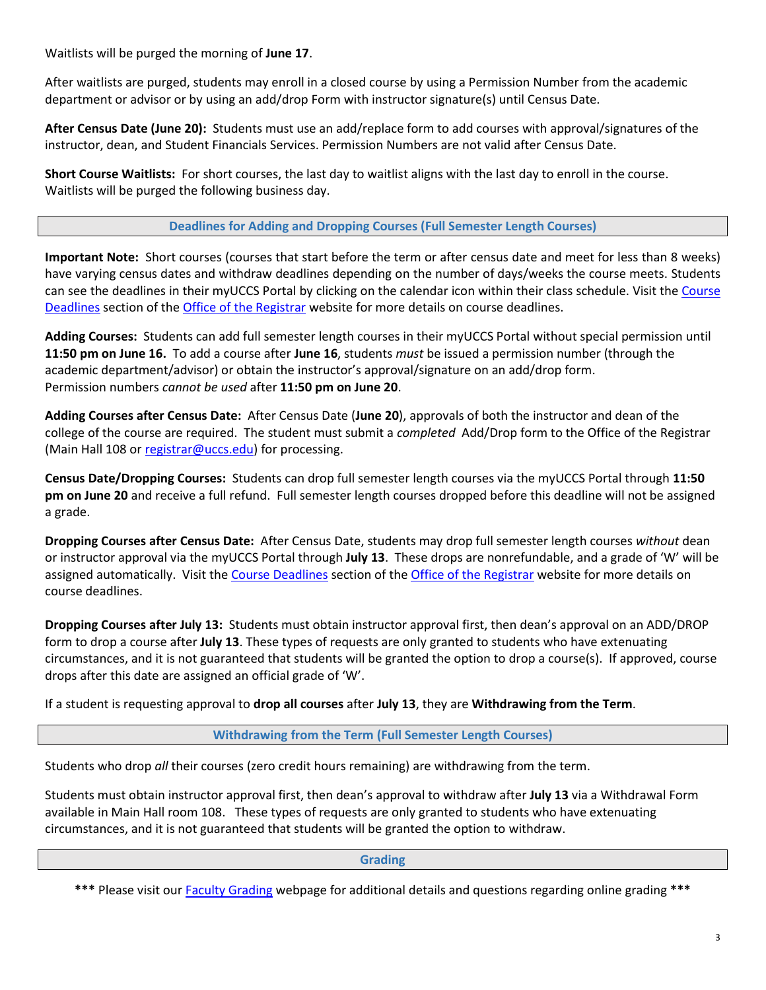Waitlists will be purged the morning of **June 17**.

After waitlists are purged, students may enroll in a closed course by using a Permission Number from the academic department or advisor or by using an add/drop Form with instructor signature(s) until Census Date.

**After Census Date (June 20):** Students must use an add/replace form to add courses with approval/signatures of the instructor, dean, and Student Financials Services. Permission Numbers are not valid after Census Date.

**Short Course Waitlists:** For short courses, the last day to waitlist aligns with the last day to enroll in the course. Waitlists will be purged the following business day.

**Deadlines for Adding and Dropping Courses (Full Semester Length Courses)**

**Important Note:** Short courses (courses that start before the term or after census date and meet for less than 8 weeks) have varying census dates and withdraw deadlines depending on the number of days/weeks the course meets. Students can see the deadlines in their myUCCS Portal by clicking on the calendar icon within their class schedule. Visit the [Course](https://registrar.uccs.edu/course-deadlines)  [Deadlines](https://registrar.uccs.edu/course-deadlines) section of the [Office of the Registrar](https://registrar.uccs.edu/) website for more details on course deadlines.

**Adding Courses:** Students can add full semester length courses in their myUCCS Portal without special permission until **11:50 pm on June 16.** To add a course after **June 16**, students *must* be issued a permission number (through the academic department/advisor) or obtain the instructor's approval/signature on an add/drop form. Permission numbers *cannot be used* after **11:50 pm on June 20**.

**Adding Courses after Census Date:** After Census Date (**June 20**), approvals of both the instructor and dean of the college of the course are required. The student must submit a *completed* Add/Drop form to the Office of the Registrar (Main Hall 108 or [registrar@uccs.edu\)](mailto:registrar@uccs.edu) for processing.

**Census Date/Dropping Courses:** Students can drop full semester length courses via the myUCCS Portal through **11:50 pm on June 20** and receive a full refund. Full semester length courses dropped before this deadline will not be assigned a grade.

**Dropping Courses after Census Date:** After Census Date, students may drop full semester length courses *without* dean or instructor approval via the myUCCS Portal through **July 13**. These drops are nonrefundable, and a grade of 'W' will be assigned automatically. Visit the [Course Deadlines](https://registrar.uccs.edu/course-deadlines) section of th[e Office of the Registrar](https://registrar.uccs.edu/) website for more details on course deadlines.

**Dropping Courses after July 13:** Students must obtain instructor approval first, then dean's approval on an ADD/DROP form to drop a course after **July 13**. These types of requests are only granted to students who have extenuating circumstances, and it is not guaranteed that students will be granted the option to drop a course(s). If approved, course drops after this date are assigned an official grade of 'W'.

If a student is requesting approval to **drop all courses** after **July 13**, they are **Withdrawing from the Term**.

**Withdrawing from the Term (Full Semester Length Courses)**

Students who drop *all* their courses (zero credit hours remaining) are withdrawing from the term.

Students must obtain instructor approval first, then dean's approval to withdraw after **July 13** via a Withdrawal Form available in Main Hall room 108. These types of requests are only granted to students who have extenuating circumstances, and it is not guaranteed that students will be granted the option to withdraw.

**Grading**

**\*\*\*** Please visit our [Faculty Grading](https://registrar.uccs.edu/grading) webpage for additional details and questions regarding online grading **\*\*\***